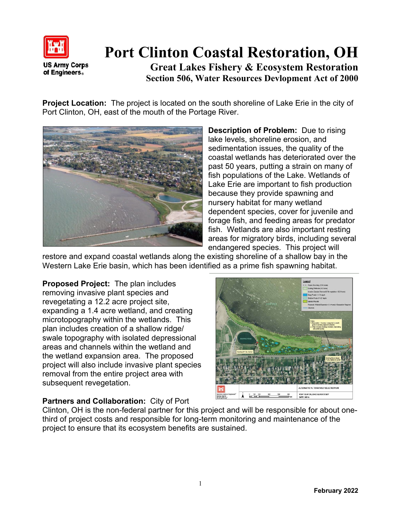

## **Port Clinton Coastal Restoration, OH**

**Great Lakes Fishery & Ecosystem Restoration Section 506, Water Resources Devlopment Act of 2000**

**Project Location:** The project is located on the south shoreline of Lake Erie in the city of Port Clinton, OH, east of the mouth of the Portage River.



**Description of Problem:** Due to rising lake levels, shoreline erosion, and sedimentation issues, the quality of the coastal wetlands has deteriorated over the past 50 years, putting a strain on many of fish populations of the Lake. Wetlands of Lake Erie are important to fish production because they provide spawning and nursery habitat for many wetland dependent species, cover for juvenile and forage fish, and feeding areas for predator fish. Wetlands are also important resting areas for migratory birds, including several endangered species. This project will

restore and expand coastal wetlands along the existing shoreline of a shallow bay in the Western Lake Erie basin, which has been identified as a prime fish spawning habitat.

**Proposed Project:** The plan includes removing invasive plant species and revegetating a 12.2 acre project site, expanding a 1.4 acre wetland, and creating microtopography within the wetlands. This plan includes creation of a shallow ridge/ swale topography with isolated depressional areas and channels within the wetland and the wetland expansion area. The proposed project will also include invasive plant species removal from the entire project area with subsequent revegetation.

## **ALTERNATIVE 16. TENTATIVELY SELECTED PLAN** PORT CLINTON, OHIO GLFER STUDY<br>DATE: 5/8/14

## **Partners and Collaboration:** City of Port

Clinton, OH is the non-federal partner for this project and will be responsible for about onethird of project costs and responsible for long-term monitoring and maintenance of the project to ensure that its ecosystem benefits are sustained.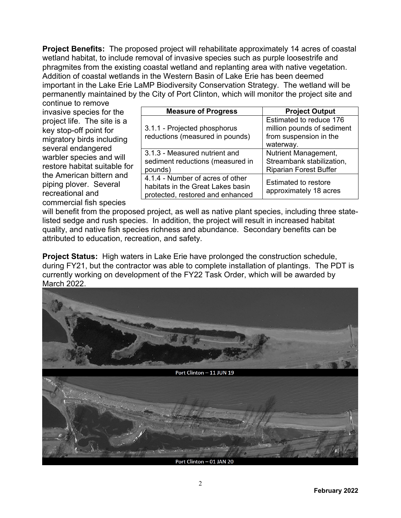**Project Benefits:** The proposed project will rehabilitate approximately 14 acres of coastal wetland habitat, to include removal of invasive species such as purple loosestrife and phragmites from the existing coastal wetland and replanting area with native vegetation. Addition of coastal wetlands in the Western Basin of Lake Erie has been deemed important in the Lake Erie LaMP Biodiversity Conservation Strategy. The wetland will be permanently maintained by the City of Port Clinton, which will monitor the project site and

continue to remove invasive species for the project life. The site is a key stop-off point for migratory birds including several endangered warbler species and will restore habitat suitable for the American bittern and piping plover. Several recreational and commercial fish species

| <b>Measure of Progress</b>                                                                                | <b>Project Output</b>                                                                        |
|-----------------------------------------------------------------------------------------------------------|----------------------------------------------------------------------------------------------|
| 3.1.1 - Projected phosphorus<br>reductions (measured in pounds)                                           | Estimated to reduce 176<br>million pounds of sediment<br>from suspension in the<br>waterway. |
| 3.1.3 - Measured nutrient and<br>sediment reductions (measured in<br>pounds)                              | Nutrient Management,<br>Streambank stabilization,<br><b>Riparian Forest Buffer</b>           |
| 4.1.4 - Number of acres of other<br>habitats in the Great Lakes basin<br>protected, restored and enhanced | <b>Estimated to restore</b><br>approximately 18 acres                                        |

will benefit from the proposed project, as well as native plant species, including three statelisted sedge and rush species. In addition, the project will result in increased habitat quality, and native fish species richness and abundance. Secondary benefits can be attributed to education, recreation, and safety.

**Project Status:** High waters in Lake Erie have prolonged the construction schedule, during FY21, but the contractor was able to complete installation of plantings. The PDT is currently working on development of the FY22 Task Order, which will be awarded by March 2022.